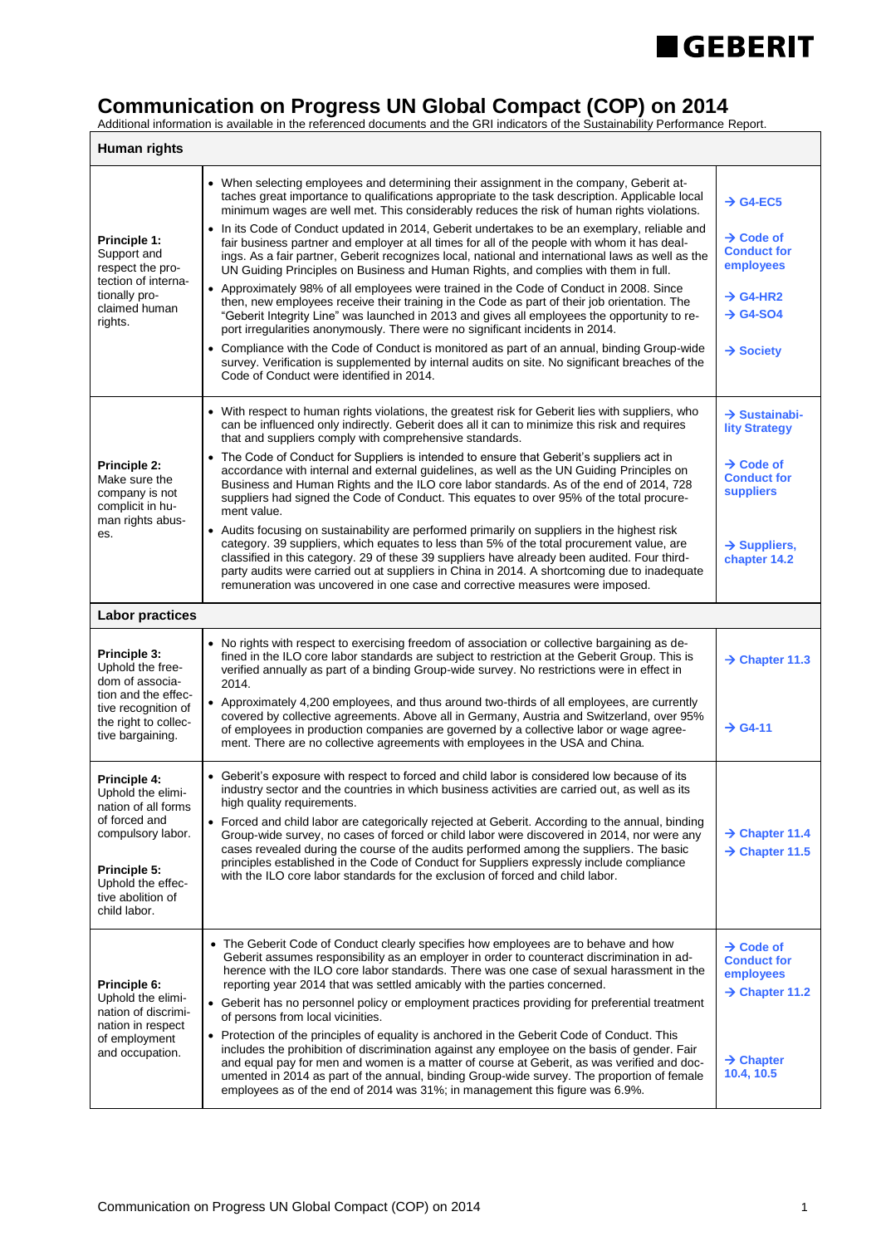

## **Communication on Progress UN Global Compact (COP) on 2014**

Additional information is available in the referenced documents and the GRI indicators of the Sustainability Performance Report.

| <b>Human rights</b>                                                                                                                                                      |                                                                                                                                                                                                                                                                                                                                                                                                                                                                                                                                                                                                                                                                                                                                                                                                                                                                                                                                                                                                                                                                   |                                                                                                                                  |  |
|--------------------------------------------------------------------------------------------------------------------------------------------------------------------------|-------------------------------------------------------------------------------------------------------------------------------------------------------------------------------------------------------------------------------------------------------------------------------------------------------------------------------------------------------------------------------------------------------------------------------------------------------------------------------------------------------------------------------------------------------------------------------------------------------------------------------------------------------------------------------------------------------------------------------------------------------------------------------------------------------------------------------------------------------------------------------------------------------------------------------------------------------------------------------------------------------------------------------------------------------------------|----------------------------------------------------------------------------------------------------------------------------------|--|
| Principle 1:<br>Support and<br>respect the pro-<br>tection of interna-<br>tionally pro-<br>claimed human<br>rights.                                                      | • When selecting employees and determining their assignment in the company, Geberit at-<br>taches great importance to qualifications appropriate to the task description. Applicable local<br>minimum wages are well met. This considerably reduces the risk of human rights violations.<br>• In its Code of Conduct updated in 2014, Geberit undertakes to be an exemplary, reliable and<br>fair business partner and employer at all times for all of the people with whom it has deal-<br>ings. As a fair partner, Geberit recognizes local, national and international laws as well as the<br>UN Guiding Principles on Business and Human Rights, and complies with them in full.<br>• Approximately 98% of all employees were trained in the Code of Conduct in 2008. Since<br>then, new employees receive their training in the Code as part of their job orientation. The<br>"Geberit Integrity Line" was launched in 2013 and gives all employees the opportunity to re-<br>port irregularities anonymously. There were no significant incidents in 2014. | $\rightarrow$ G4-EC5<br>$\rightarrow$ Code of<br><b>Conduct for</b><br>employees<br>$\rightarrow$ G4-HR2<br>$\rightarrow$ G4-SO4 |  |
|                                                                                                                                                                          | • Compliance with the Code of Conduct is monitored as part of an annual, binding Group-wide<br>survey. Verification is supplemented by internal audits on site. No significant breaches of the<br>Code of Conduct were identified in 2014.                                                                                                                                                                                                                                                                                                                                                                                                                                                                                                                                                                                                                                                                                                                                                                                                                        | $\rightarrow$ Society                                                                                                            |  |
| Principle 2:<br>Make sure the<br>company is not<br>complicit in hu-<br>man rights abus-<br>es.                                                                           | • With respect to human rights violations, the greatest risk for Geberit lies with suppliers, who<br>can be influenced only indirectly. Geberit does all it can to minimize this risk and requires<br>that and suppliers comply with comprehensive standards.                                                                                                                                                                                                                                                                                                                                                                                                                                                                                                                                                                                                                                                                                                                                                                                                     | $\rightarrow$ Sustainabi-<br><b>lity Strategy</b>                                                                                |  |
|                                                                                                                                                                          | • The Code of Conduct for Suppliers is intended to ensure that Geberit's suppliers act in<br>accordance with internal and external guidelines, as well as the UN Guiding Principles on<br>Business and Human Rights and the ILO core labor standards. As of the end of 2014, 728<br>suppliers had signed the Code of Conduct. This equates to over 95% of the total procure-<br>ment value.                                                                                                                                                                                                                                                                                                                                                                                                                                                                                                                                                                                                                                                                       | $\rightarrow$ Code of<br><b>Conduct for</b><br><b>suppliers</b>                                                                  |  |
|                                                                                                                                                                          | • Audits focusing on sustainability are performed primarily on suppliers in the highest risk<br>category. 39 suppliers, which equates to less than 5% of the total procurement value, are<br>classified in this category. 29 of these 39 suppliers have already been audited. Four third-<br>party audits were carried out at suppliers in China in 2014. A shortcoming due to inadequate<br>remuneration was uncovered in one case and corrective measures were imposed.                                                                                                                                                                                                                                                                                                                                                                                                                                                                                                                                                                                         | $\rightarrow$ Suppliers,<br>chapter 14.2                                                                                         |  |
| <b>Labor practices</b>                                                                                                                                                   |                                                                                                                                                                                                                                                                                                                                                                                                                                                                                                                                                                                                                                                                                                                                                                                                                                                                                                                                                                                                                                                                   |                                                                                                                                  |  |
| Principle 3:<br>Uphold the free-<br>dom of associa-<br>tion and the effec-<br>tive recognition of<br>the right to collec-<br>tive bargaining.                            | • No rights with respect to exercising freedom of association or collective bargaining as de-<br>fined in the ILO core labor standards are subject to restriction at the Geberit Group. This is<br>verified annually as part of a binding Group-wide survey. No restrictions were in effect in<br>2014.<br>• Approximately 4,200 employees, and thus around two-thirds of all employees, are currently<br>covered by collective agreements. Above all in Germany, Austria and Switzerland, over 95%<br>of employees in production companies are governed by a collective labor or wage agree-<br>ment. There are no collective agreements with employees in the USA and China.                                                                                                                                                                                                                                                                                                                                                                                    | $\rightarrow$ Chapter 11.3<br>$\rightarrow$ G4-11                                                                                |  |
| Principle 4:<br>Uphold the elimi-<br>nation of all forms<br>of forced and<br>compulsory labor.<br>Principle 5:<br>Uphold the effec-<br>tive abolition of<br>child labor. | • Geberit's exposure with respect to forced and child labor is considered low because of its<br>industry sector and the countries in which business activities are carried out, as well as its<br>high quality requirements.<br>• Forced and child labor are categorically rejected at Geberit. According to the annual, binding<br>Group-wide survey, no cases of forced or child labor were discovered in 2014, nor were any<br>cases revealed during the course of the audits performed among the suppliers. The basic<br>principles established in the Code of Conduct for Suppliers expressly include compliance<br>with the ILO core labor standards for the exclusion of forced and child labor.                                                                                                                                                                                                                                                                                                                                                           | $\rightarrow$ Chapter 11.4<br>$\rightarrow$ Chapter 11.5                                                                         |  |
| Principle 6:<br>Uphold the elimi-<br>nation of discrimi-<br>nation in respect<br>of employment<br>and occupation.                                                        | The Geberit Code of Conduct clearly specifies how employees are to behave and how<br>Geberit assumes responsibility as an employer in order to counteract discrimination in ad-<br>herence with the ILO core labor standards. There was one case of sexual harassment in the<br>reporting year 2014 that was settled amicably with the parties concerned.<br>• Geberit has no personnel policy or employment practices providing for preferential treatment<br>of persons from local vicinities.                                                                                                                                                                                                                                                                                                                                                                                                                                                                                                                                                                  | $\rightarrow$ Code of<br><b>Conduct for</b><br>employees<br>$\rightarrow$ Chapter 11.2                                           |  |
|                                                                                                                                                                          | • Protection of the principles of equality is anchored in the Geberit Code of Conduct. This<br>includes the prohibition of discrimination against any employee on the basis of gender. Fair<br>and equal pay for men and women is a matter of course at Geberit, as was verified and doc-<br>umented in 2014 as part of the annual, binding Group-wide survey. The proportion of female<br>employees as of the end of 2014 was 31%; in management this figure was 6.9%.                                                                                                                                                                                                                                                                                                                                                                                                                                                                                                                                                                                           | $\rightarrow$ Chapter<br>10.4, 10.5                                                                                              |  |